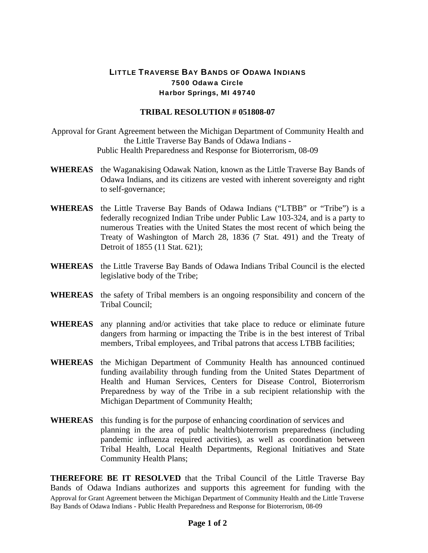## LITTLE TRAVERSE BAY BANDS OF ODAWA INDIANS 7500 Odawa Circle Harbor Springs, MI 49740

## **TRIBAL RESOLUTION # 051808-07**

- Approval for Grant Agreement between the Michigan Department of Community Health and the Little Traverse Bay Bands of Odawa Indians - Public Health Preparedness and Response for Bioterrorism, 08-09
- **WHEREAS** the Waganakising Odawak Nation, known as the Little Traverse Bay Bands of Odawa Indians, and its citizens are vested with inherent sovereignty and right to self-governance;
- **WHEREAS** the Little Traverse Bay Bands of Odawa Indians ("LTBB" or "Tribe") is a federally recognized Indian Tribe under Public Law 103-324, and is a party to numerous Treaties with the United States the most recent of which being the Treaty of Washington of March 28, 1836 (7 Stat. 491) and the Treaty of Detroit of 1855 (11 Stat. 621);
- **WHEREAS** the Little Traverse Bay Bands of Odawa Indians Tribal Council is the elected legislative body of the Tribe;
- **WHEREAS** the safety of Tribal members is an ongoing responsibility and concern of the Tribal Council;
- **WHEREAS** any planning and/or activities that take place to reduce or eliminate future dangers from harming or impacting the Tribe is in the best interest of Tribal members, Tribal employees, and Tribal patrons that access LTBB facilities;
- **WHEREAS** the Michigan Department of Community Health has announced continued funding availability through funding from the United States Department of Health and Human Services, Centers for Disease Control, Bioterrorism Preparedness by way of the Tribe in a sub recipient relationship with the Michigan Department of Community Health;
- **WHEREAS** this funding is for the purpose of enhancing coordination of services and planning in the area of public health/bioterrorism preparedness (including pandemic influenza required activities), as well as coordination between Tribal Health, Local Health Departments, Regional Initiatives and State Community Health Plans;

Approval for Grant Agreement between the Michigan Department of Community Health and the Little Traverse Bay Bands of Odawa Indians - Public Health Preparedness and Response for Bioterrorism, 08-09 **THEREFORE BE IT RESOLVED** that the Tribal Council of the Little Traverse Bay Bands of Odawa Indians authorizes and supports this agreement for funding with the